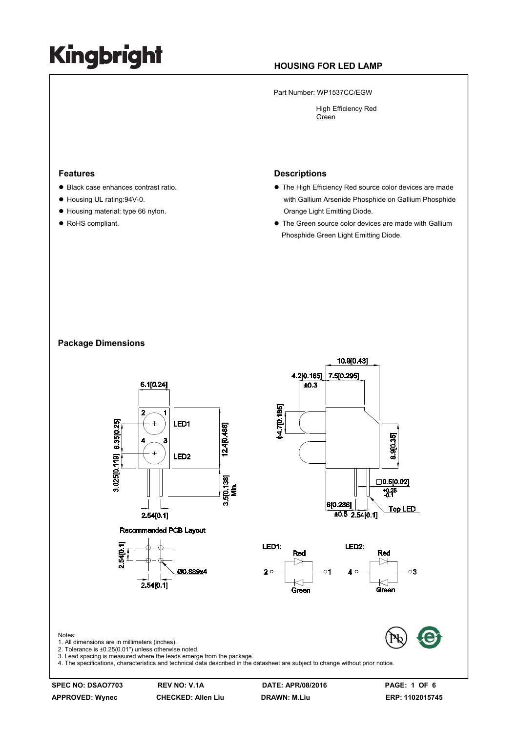### **HOUSING FOR LED LAMP**

Part Number: WP1537CC/EGW

 High Efficiency Red Green

#### **Features**

- Black case enhances contrast ratio.
- Housing UL rating:94V-0.
- $\bullet$  Housing material: type 66 nylon.
- RoHS compliant.

#### **Descriptions**

- $\bullet$  The High Efficiency Red source color devices are made with Gallium Arsenide Phosphide on Gallium Phosphide Orange Light Emitting Diode.
- $\bullet$  The Green source color devices are made with Gallium Phosphide Green Light Emitting Diode.

#### **Package Dimensions**



Notes:

**APPROVED: Wynec CHECKED: Allen Liu DRAWN: M.Liu ERP: 1102015745**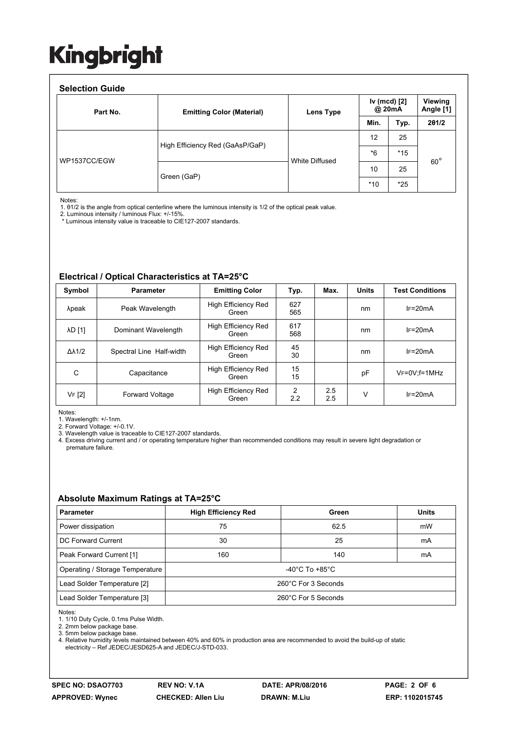#### **Selection Guide**

| Part No.     | <b>Emitting Color (Material)</b> | Lens Type      | Iv (mcd) [2]<br>@ 20mA |       | <b>Viewing</b><br>Angle [1] |
|--------------|----------------------------------|----------------|------------------------|-------|-----------------------------|
|              |                                  |                | Min.                   | Typ.  | 201/2                       |
| WP1537CC/EGW | High Efficiency Red (GaAsP/GaP)  | White Diffused | 12                     | 25    | $60^{\circ}$                |
|              |                                  |                | $*6$                   | $*15$ |                             |
|              | Green (GaP)                      |                | 10                     | 25    |                             |
|              |                                  |                | $*10$                  | $*25$ |                             |

Notes:

1. θ1/2 is the angle from optical centerline where the luminous intensity is 1/2 of the optical peak value.

2. Luminous intensity / luminous Flux: +/-15%.

\* Luminous intensity value is traceable to CIE127-2007 standards.

#### **Electrical / Optical Characteristics at TA=25°C**

| Symbol              | <b>Parameter</b>         | <b>Emitting Color</b>               | Typ.       | Max.       | <b>Units</b> | <b>Test Conditions</b> |
|---------------------|--------------------------|-------------------------------------|------------|------------|--------------|------------------------|
| λpeak               | Peak Wavelength          | High Efficiency Red<br>Green        | 627<br>565 |            | nm           | $IF=20mA$              |
| λD [1]              | Dominant Wavelength      | High Efficiency Red<br>Green        | 617<br>568 |            | nm           | $IF=20mA$              |
| $\Delta\lambda$ 1/2 | Spectral Line Half-width | High Efficiency Red<br>Green        | 45<br>30   |            | nm           | $IF=20mA$              |
| С                   | Capacitance              | <b>High Efficiency Red</b><br>Green | 15<br>15   |            | pF           | $V_F = 0V$ : f = 1 MHz |
| VF [2]              | <b>Forward Voltage</b>   | High Efficiency Red<br>Green        | 2<br>2.2   | 2.5<br>2.5 | ٧            | $IF=20mA$              |

Notes:

1. Wavelength: +/-1nm.

2. Forward Voltage: +/-0.1V.

3. Wavelength value is traceable to CIE127-2007 standards.

4. Excess driving current and / or operating temperature higher than recommended conditions may result in severe light degradation or premature failure.

#### **Absolute Maximum Ratings at TA=25°C**

| <b>Parameter</b>                | <b>High Efficiency Red</b>           | Green | <b>Units</b> |  |  |
|---------------------------------|--------------------------------------|-------|--------------|--|--|
| Power dissipation               | 75                                   | 62.5  | mW           |  |  |
| DC Forward Current              | 30                                   | 25    | mA           |  |  |
| Peak Forward Current [1]        | 160                                  | 140   | mA           |  |  |
| Operating / Storage Temperature | -40 $^{\circ}$ C To +85 $^{\circ}$ C |       |              |  |  |
| Lead Solder Temperature [2]     | 260°C For 3 Seconds                  |       |              |  |  |
| Lead Solder Temperature [3]     | 260°C For 5 Seconds                  |       |              |  |  |

Notes:

1. 1/10 Duty Cycle, 0.1ms Pulse Width.

2. 2mm below package base.

3. 5mm below package base.

4. Relative humidity levels maintained between 40% and 60% in production area are recommended to avoid the build-up of static electricity – Ref JEDEC/JESD625-A and JEDEC/J-STD-033.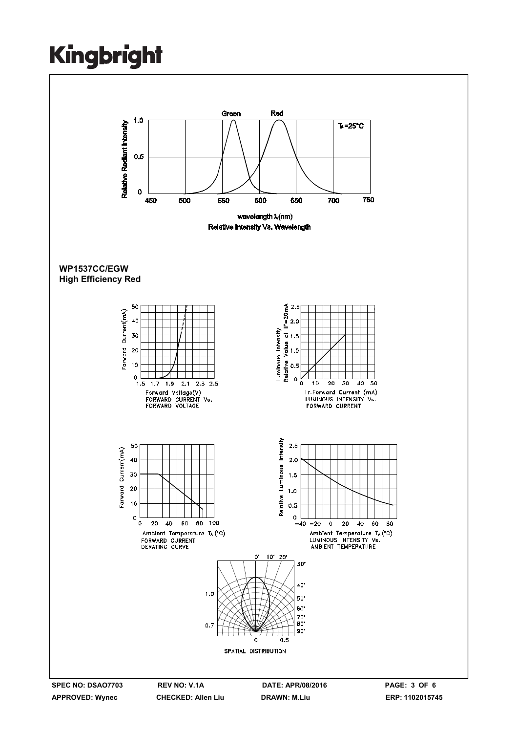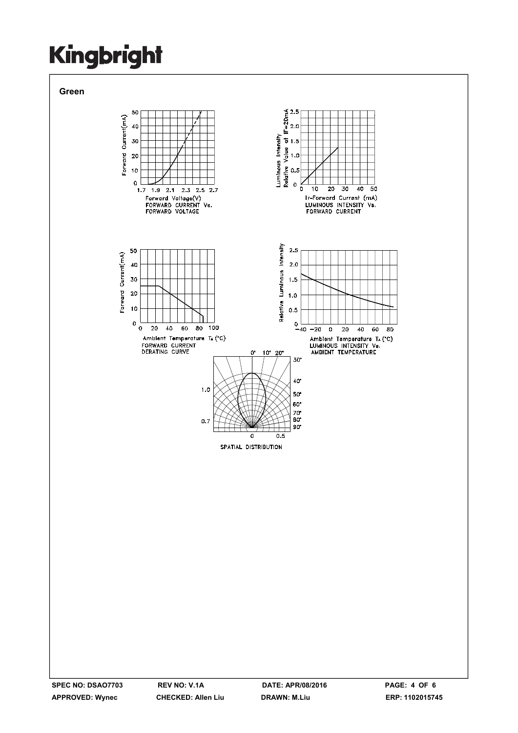

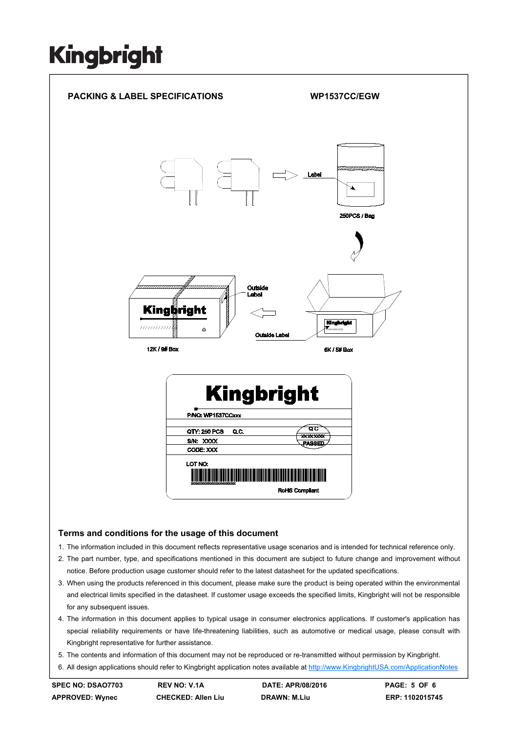

- 2. The part number, type, and specifications mentioned in this document are subject to future change and improvement without notice. Before production usage customer should refer to the latest datasheet for the updated specifications.
- 3. When using the products referenced in this document, please make sure the product is being operated within the environmental and electrical limits specified in the datasheet. If customer usage exceeds the specified limits, Kingbright will not be responsible for any subsequent issues.
- 4. The information in this document applies to typical usage in consumer electronics applications. If customer's application has special reliability requirements or have life-threatening liabilities, such as automotive or medical usage, please consult with Kingbright representative for further assistance.
- 5. The contents and information of this document may not be reproduced or re-transmitted without permission by Kingbright.
- 6. All design applications should refer to Kingbright application notes available at http://www.KingbrightUSA.com/ApplicationNotes

**SPEC NO: DSAO7703 REV NO: V.1A DATE: APR/08/2016 PAGE: 5 OF 6**